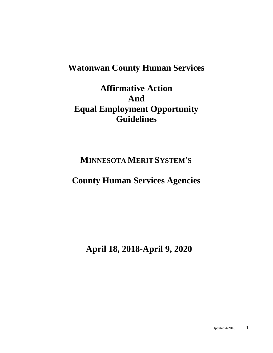# **Watonwan County Human Services**

# **Affirmative Action And Equal Employment Opportunity Guidelines**

# **MINNESOTA MERIT SYSTEM'S**

# **County Human Services Agencies**

**April 18, 2018-April 9, 2020**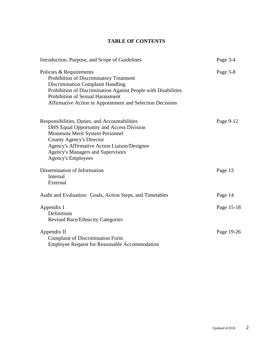# **TABLE OF CONTENTS**

| Introduction, Purpose, and Scope of Guidelines                                                                                                                                                                                                                                           | Page 3-4   |
|------------------------------------------------------------------------------------------------------------------------------------------------------------------------------------------------------------------------------------------------------------------------------------------|------------|
| Policies & Requirements<br>Prohibition of Discriminatory Treatment<br><b>Discrimination Complaint Handling</b><br>Prohibition of Discrimination Against People with Disabilities<br><b>Prohibition of Sexual Harassment</b><br>Affirmative Action in Appointment and Selection Decisions | Page 5-8   |
| Responsibilities, Duties, and Accountabilities<br>DHS Equal Opportunity and Access Division<br>Minnesota Merit System Personnel<br>County Agency's Director<br>Agency's Affirmative Action Liaison/Designee<br><b>Agency's Managers and Supervisors</b><br><b>Agency's Employees</b>     | Page 9-12  |
| Dissemination of Information<br>Internal<br>External                                                                                                                                                                                                                                     | Page 13    |
| Audit and Evaluation: Goals, Action Steps, and Timetables                                                                                                                                                                                                                                | Page 14    |
| Appendix I<br>Definitions<br><b>Revised Race/Ethnicity Categories</b>                                                                                                                                                                                                                    | Page 15-18 |
| Appendix II<br><b>Complaint of Discrimination Form</b><br>Employee Request for Reasonable Accommodation                                                                                                                                                                                  | Page 19-26 |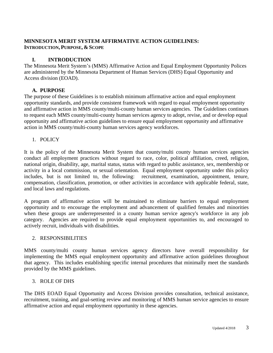# **MINNESOTA MERIT SYSTEM AFFIRMATIVE ACTION GUIDELINES: INTRODUCTION, PURPOSE, & SCOPE**

# **I. INTRODUCTION**

The Minnesota Merit System's (MMS) Affirmative Action and Equal Employment Opportunity Polices are administered by the Minnesota Department of Human Services (DHS) Equal Opportunity and Access division (EOAD).

# **A. PURPOSE**

The purpose of these Guidelines is to establish minimum affirmative action and equal employment opportunity standards, and provide consistent framework with regard to equal employment opportunity and affirmative action in MMS county/multi-county human services agencies. The Guidelines continues to request each MMS county/multi-county human services agency to adopt, revise, and or develop equal opportunity and affirmative action guidelines to ensure equal employment opportunity and affirmative action in MMS county/multi-county human services agency workforces.

# 1. POLICY

It is the policy of the Minnesota Merit System that county/multi county human services agencies conduct all employment practices without regard to race, color, political affiliation, creed, religion, national origin, disability, age, marital status, status with regard to public assistance, sex, membership or activity in a local commission, or sexual orientation. Equal employment opportunity under this policy includes, but is not limited to, the following: recruitment, examination, appointment, tenure, compensation, classification, promotion, or other activities in accordance with applicable federal, state, and local laws and regulations.

A program of affirmative action will be maintained to eliminate barriers to equal employment opportunity and to encourage the employment and advancement of qualified females and minorities when these groups are underrepresented in a county human service agency's workforce in any job category. Agencies are required to provide equal employment opportunities to, and encouraged to actively recruit, individuals with disabilities.

# 2. RESPONSIBILITIES

MMS county/multi county human services agency directors have overall responsibility for implementing the MMS equal employment opportunity and affirmative action guidelines throughout that agency. This includes establishing specific internal procedures that minimally meet the standards provided by the MMS guidelines.

# 3. ROLE OF DHS

The DHS EOAD Equal Opportunity and Access Division provides consultation, technical assistance, recruitment, training, and goal-setting review and monitoring of MMS human service agencies to ensure affirmative action and equal employment opportunity in these agencies.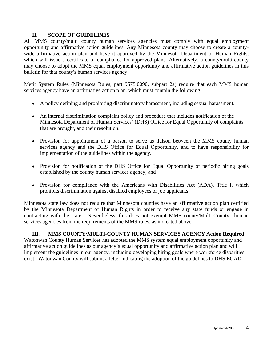### **II. SCOPE OF GUIDELINES**

All MMS county/multi county human services agencies must comply with equal employment opportunity and affirmative action guidelines. Any Minnesota county may choose to create a countywide affirmative action plan and have it approved by the Minnesota Department of Human Rights, which will issue a certificate of compliance for approved plans. Alternatively, a county/multi-county may choose to adopt the MMS equal employment opportunity and affirmative action guidelines in this bulletin for that county's human services agency.

Merit System Rules (Minnesota Rules, part 9575.0090, subpart 2a) require that each MMS human services agency have an affirmative action plan, which must contain the following:

- A policy defining and prohibiting discriminatory harassment, including sexual harassment.
- An internal discrimination complaint policy and procedure that includes notification of the Minnesota Department of Human Services' (DHS) Office for Equal Opportunity of complaints that are brought, and their resolution.
- Provision for appointment of a person to serve as liaison between the MMS county human services agency and the DHS Office for Equal Opportunity, and to have responsibility for implementation of the guidelines within the agency.
- Provision for notification of the DHS Office for Equal Opportunity of periodic hiring goals established by the county human services agency; and
- Provision for compliance with the Americans with Disabilities Act (ADA), Title I, which prohibits discrimination against disabled employees or job applicants.

Minnesota state law does not require that Minnesota counties have an affirmative action plan certified by the Minnesota Department of Human Rights in order to receive any state funds or engage in contracting with the state. Nevertheless, this does not exempt MMS county/Multi-County human services agencies from the requirements of the MMS rules, as indicated above.

# **III. MMS COUNTY/MULTI-COUNTY HUMAN SERVICES AGENCY Action Required**

Watonwan County Human Services has adopted the MMS system equal employment opportunity and affirmative action guidelines as our agency's equal opportunity and affirmative action plan and will implement the guidelines in our agency, including developing hiring goals where workforce disparities exist. Watonwan County will submit a letter indicating the adoption of the guidelines to DHS EOAD.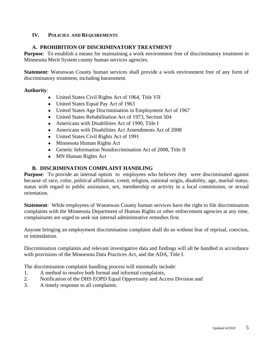# **IV. POLICIES AND REQUIREMENTS**

# **A. PROHIBITION OF DISCRIMINATORY TREATMENT**

**Purpose**: To establish a means for maintaining a work environment free of discriminatory treatment in Minnesota Merit System county human services agencies.

**Statement**: Watonwan County human services shall provide a work environment free of any form of discriminatory treatment, including harassment.

## **Authority**:

- United States Civil Rights Act of 1964, Title VII
- United States Equal Pay Act of 1963
- United States Age Discrimination in Employment Act of 1967
- United States Rehabilitation Act of 1973, Section 504
- Americans with Disabilities Act of 1990, Title I
- Americans with Disabilities Act Amendments Act of 2008
- United States Civil Rights Act of 1991
- Minnesota Human Rights Act
- Genetic Information Nondiscrimination Act of 2008, Title II
- MN Human Rights Act

# **B. DISCRIMINATION COMPLAINT HANDLING**

**Purpose:** To provide an internal option to employees who believes they were discriminated against because of race, color, political affiliation, creed, religion, national origin, disability, age, marital status, status with regard to public assistance, sex, membership or activity in a local commission, or sexual orientation.

**Statement**: While employees of Watonwan County human services have the right to file discrimination complaints with the Minnesota Department of Human Rights or other enforcement agencies at any time, complainants are urged to seek out internal administrative remedies first.

Anyone bringing an employment discrimination complaint shall do so without fear of reprisal, coercion, or intimidation.

Discrimination complaints and relevant investigative data and findings will all be handled in accordance with provisions of the Minnesota Data Practices Act, and the ADA, Title I.

The discrimination complaint handling process will minimally include:

- 1. A method to resolve both formal and informal complaints,
- 2. Notification of the DHS EOPD Equal Opportunity and Access Division and
- 3. A timely response to all complaints.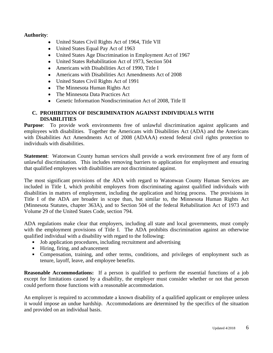## **Authority**:

- United States Civil Rights Act of 1964, Title VII
- United States Equal Pay Act of 1963
- United States Age Discrimination in Employment Act of 1967
- United States Rehabilitation Act of 1973, Section 504
- Americans with Disabilities Act of 1990, Title I
- Americans with Disabilities Act Amendments Act of 2008
- United States Civil Rights Act of 1991
- The Minnesota Human Rights Act
- The Minnesota Data Practices Act
- Genetic Information Nondiscrimination Act of 2008, Title II

# **C. PROHIBITION OF DISCRIMINATION AGAINST INDIVIDUALS WITH DISABILITIES**

**Purpose**: To provide work environments free of unlawful discrimination against applicants and employees with disabilities. Together the Americans with Disabilities Act (ADA) and the Americans with Disabilities Act Amendments Act of 2008 (ADAAA) extend federal civil rights protection to individuals with disabilities.

**Statement**: Watonwan County human services shall provide a work environment free of any form of unlawful discrimination. This includes removing barriers to application for employment and ensuring that qualified employees with disabilities are not discriminated against.

The most significant provisions of the ADA with regard to Watonwan County Human Services are included in Title I, which prohibit employers from discriminating against qualified individuals with disabilities in matters of employment, including the application and hiring process. The provisions in Title I of the ADA are broader in scope than, but similar to, the Minnesota Human Rights Act (Minnesota Statutes, chapter 363A), and to Section 504 of the federal Rehabilitation Act of 1973 and Volume 29 of the United States Code, section 794.

ADA regulations make clear that employers, including all state and local governments, must comply with the employment provisions of Title I. The ADA prohibits discrimination against an otherwise qualified individual with a disability with regard to the following:

- Job application procedures, including recruitment and advertising
- Hiring, firing, and advancement
- Compensation, training, and other terms, conditions, and privileges of employment such as tenure, layoff, leave, and employee benefits.

**Reasonable Accommodations:** If a person is qualified to perform the essential functions of a job except for limitations caused by a disability, the employer must consider whether or not that person could perform those functions with a reasonable accommodation.

An employer is required to accommodate a known disability of a qualified applicant or employee unless it would impose an undue hardship. Accommodations are determined by the specifics of the situation and provided on an individual basis.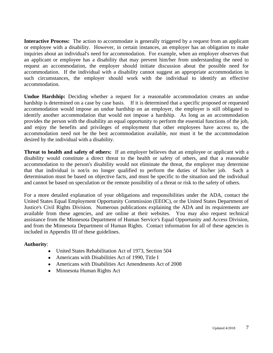**Interactive Process:** The action to accommodate is generally triggered by a request from an applicant or employee with a disability. However, in certain instances, an employer has an obligation to make inquiries about an individual's need for accommodation. For example, when an employer observes that an applicant or employee has a disability that may prevent him/her from understanding the need to request an accommodation, the employer should initiate discussion about the possible need for accommodation. If the individual with a disability cannot suggest an appropriate accommodation in such circumstances, the employer should work with the individual to identify an effective accommodation.

**Undue Hardship:** Deciding whether a request for a reasonable accommodation creates an undue hardship is determined on a case by case basis. If it is determined that a specific proposed or requested accommodation would impose an undue hardship on an employer, the employer is still obligated to identify another accommodation that would not impose a hardship. As long as an accommodation provides the person with the disability an equal opportunity to perform the essential functions of the job, and enjoy the benefits and privileges of employment that other employees have access to, the accommodation need not be the best accommodation available, nor must it be the accommodation desired by the individual with a disability.

**Threat to health and safety of others:** If an employer believes that an employee or applicant with a disability would constitute a direct threat to the health or safety of others, and that a reasonable accommodation to the person's disability would not eliminate the threat, the employer may determine that that individual is not/is no longer qualified to perform the duties of his/her job. Such a determination must be based on objective facts, and must be specific to the situation and the individual and cannot be based on speculation or the remote possibility of a threat or risk to the safety of others.

For a more detailed explanation of your obligations and responsibilities under the ADA, contact the United States Equal Employment Opportunity Commission (EEOC), or the United States Department of Justice's Civil Rights Division. Numerous publications explaining the ADA and its requirements are available from these agencies, and are online at their websites. You may also request technical assistance from the Minnesota Department of Human Service's Equal Opportunity and Access Division, and from the Minnesota Department of Human Rights. Contact information for all of these agencies is included in Appendix III of these guidelines.

# **Authority**:

- United States Rehabilitation Act of 1973, Section 504
- Americans with Disabilities Act of 1990, Title I
- Americans with Disabilities Act Amendments Act of 2008
- Minnesota Human Rights Act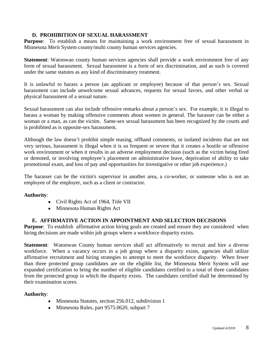# **D. PROHIBITION OF SEXUAL HARASSMENT**

**Purpose**: To establish a means for maintaining a work environment free of sexual harassment in Minnesota Merit System county/multi county human services agencies.

**Statement**: Watonwan county human services agencies shall provide a work environment free of any form of sexual harassment. Sexual harassment is a form of sex discrimination, and as such is covered under the same statutes as any kind of discriminatory treatment.

It is unlawful to harass a person (an applicant or employee) because of that person's sex. Sexual harassment can include unwelcome sexual advances, requests for sexual favors, and other verbal or physical harassment of a sexual nature.

Sexual harassment can also include offensive remarks about a person's sex. For example, it is illegal to harass a woman by making offensive comments about women in general. The harasser can be either a woman or a man, as can the victim. Same-sex sexual harassment has been recognized by the courts and is prohibited as is opposite-sex harassment.

Although the law doesn't prohibit simple teasing, offhand comments, or isolated incidents that are not very serious, harassment is illegal when it is so frequent or severe that it creates a hostile or offensive work environment or when it results in an adverse employment decision (such as the victim being fired or demoted, or involving employee's placement on administrative leave, deprivation of ability to take promotional exam, and loss of pay and opportunities for investigative or other job experience.)

The harasser can be the victim's supervisor in another area, a co-worker, or someone who is not an employee of the employer, such as a client or contractor.

# **Authority**:

- Civil Rights Act of 1964, Title VII
- Minnesota Human Rights Act

# **E. AFFIRMATIVE ACTION IN APPOINTMENT AND SELECTION DECISIONS**

**Purpose**: To establish affirmative action hiring goals are created and ensure they are considered when hiring decisions are made within job groups where a workforce disparity exists.

**Statement**: Watonwan County human services shall act affirmatively to recruit and hire a diverse workforce. When a vacancy occurs in a job group where a disparity exists, agencies shall utilize affirmative recruitment and hiring strategies to attempt to meet the workforce disparity. When fewer than three protected group candidates are on the eligible list, the Minnesota Merit System will use expanded certification to bring the number of eligible candidates certified to a total of three candidates from the protected group in which the disparity exists. The candidates certified shall be determined by their examination scores.

# **Authority**:

- Minnesota Statutes, section 256.012, subdivision 1
- Minnesota Rules, part 9575.0620, subpart 7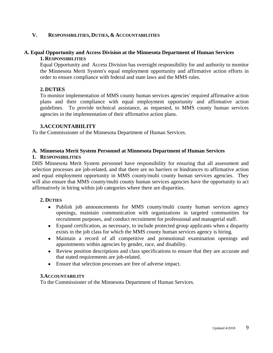## **V. RESPONSIBILITIES, DUTIES, & ACCOUNTABILITIES**

# **A. Equal Opportunity and Access Division at the Minnesota Department of Human Services 1. RESPONSIBILITIES**

Equal Opportunity and Access Division has oversight responsibility for and authority to monitor the Minnesota Merit System's equal employment opportunity and affirmative action efforts in order to ensure compliance with federal and state laws and the MMS rules.

# **2. DUTIES**

To monitor implementation of MMS county human services agencies' required affirmative action plans and their compliance with equal employment opportunity and affirmative action guidelines. To provide technical assistance, as requested, to MMS county human services agencies in the implementation of their affirmative action plans.

# **3.ACCOUNTABIILITY**

To the Commissioner of the Minnesota Department of Human Services.

# **A. Minnesota Merit System Personnel at Minnesota Department of Human Services**

# **1. RESPONSIBILITIES**

DHS Minnesota Merit System personnel have responsibility for ensuring that all assessment and selection processes are job-related, and that there are no barriers or hindrances to affirmative action and equal employment opportunity in MMS county/multi county human services agencies. They will also ensure that MMS county/multi county human services agencies have the opportunity to act affirmatively in hiring within job categories where there are disparities.

# **2. DUTIES**

- Publish job announcements for MMS county/multi county human services agency openings, maintain communication with organizations in targeted communities for recruitment purposes, and conduct recruitment for professional and managerial staff.
- Expand certification, as necessary, to include protected group applicants when a disparity exists in the job class for which the MMS county human services agency is hiring.
- Maintain a record of all competitive and promotional examination openings and appointments within agencies by gender, race, and disability.
- Review position descriptions and class specifications to ensure that they are accurate and that stated requirements are job-related.
- Ensure that selection processes are free of adverse impact.

#### **3.ACCOUNTABILITY**

To the Commissioner of the Minnesota Department of Human Services.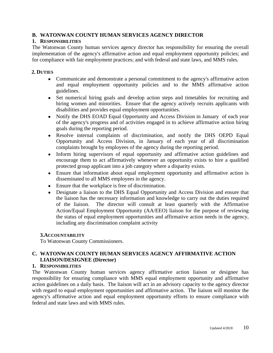# **B. WATONWAN COUNTY HUMAN SERVICES AGENCY DIRECTOR**

## **1. RESPONSIBILITIES**

The Watonwan County human services agency director has responsibility for ensuring the overall implementation of the agency's affirmative action and equal employment opportunity policies; and for compliance with fair employment practices; and with federal and state laws, and MMS rules.

# **2. DUTIES**

- Communicate and demonstrate a personal commitment to the agency's affirmative action and equal employment opportunity policies and to the MMS affirmative action guidelines.
- Set numerical hiring goals and develop action steps and timetables for recruiting and hiring women and minorities. Ensure that the agency actively recruits applicants with disabilities and provides equal employment opportunities.
- Notify the DHS EOAD Equal Opportunity and Access Division in January of each year of the agency's progress and of activities engaged in to achieve affirmative action hiring goals during the reporting period.
- Resolve internal complaints of discrimination, and notify the DHS OEPD Equal Opportunity and Access Division, in January of each year of all discrimination complaints brought by employees of the agency during the reporting period.
- Inform hiring supervisors of equal opportunity and affirmative action guidelines and encourage them to act affirmatively whenever an opportunity exists to hire a qualified protected group applicant into a job category where a disparity exists.
- Ensure that information about equal employment opportunity and affirmative action is disseminated to all MMS employees in the agency.
- Ensure that the workplace is free of discrimination.
- Designate a liaison to the DHS Equal Opportunity and Access Division and ensure that the liaison has the necessary information and knowledge to carry out the duties required of the liaison. The director will consult at least quarterly with the Affirmative Action/Equal Employment Opportunity (AA/EEO) liaison for the purpose of reviewing the status of equal employment opportunities and affirmative action needs in the agency, including any discrimination complaint activity

# **3.ACCOUNTABILITY**

To Watonwan County Commissioners.

# **C. WATONWAN COUNTY HUMAN SERVICES AGENCY AFFIRMATIVE ACTION LIAISON/DESIGNEE (Director)**

# **1. RESPONSIBILITIES**

The Watonwan County human services agency affirmative action liaison or designee has responsibility for ensuring compliance with MMS equal employment opportunity and affirmative action guidelines on a daily basis. The liaison will act in an advisory capacity to the agency director with regard to equal employment opportunities and affirmative action. The liaison will monitor the agency's affirmative action and equal employment opportunity efforts to ensure compliance with federal and state laws and with MMS rules.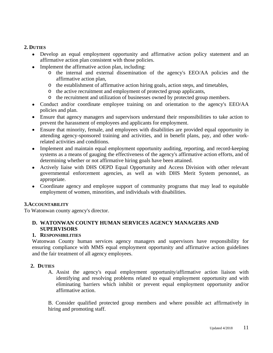# **2. DUTIES**

- Develop an equal employment opportunity and affirmative action policy statement and an affirmative action plan consistent with those policies.
- Implement the affirmative action plan, including:
	- o the internal and external dissemination of the agency's EEO/AA policies and the affirmative action plan,
	- o the establishment of affirmative action hiring goals, action steps, and timetables,
	- o the active recruitment and employment of protected group applicants,
	- o the recruitment and utilization of businesses owned by protected group members.
- Conduct and/or coordinate employee training on and orientation to the agency's EEO/AA policies and plan.
- Ensure that agency managers and supervisors understand their responsibilities to take action to prevent the harassment of employees and applicants for employment.
- Ensure that minority, female, and employees with disabilities are provided equal opportunity in attending agency-sponsored training and activities, and in benefit plans, pay, and other workrelated activities and conditions.
- Implement and maintain equal employment opportunity auditing, reporting, and record-keeping systems as a means of gauging the effectiveness of the agency's affirmative action efforts, and of determining whether or not affirmative hiring goals have been attained.
- Actively liaise with DHS OEPD Equal Opportunity and Access Division with other relevant governmental enforcement agencies, as well as with DHS Merit System personnel, as appropriate.
- Coordinate agency and employee support of community programs that may lead to equitable employment of women, minorities, and individuals with disabilities.

#### **3.ACCOUNTABILITY**

To Watonwan county agency's director.

# **D. WATONWAN COUNTY HUMAN SERVICES AGENCY MANAGERS AND SUPERVISORS**

# **1. RESPONSIBILITIES**

Watonwan County human services agency managers and supervisors have responsibility for ensuring compliance with MMS equal employment opportunity and affirmative action guidelines and the fair treatment of all agency employees.

#### **2. DUTIES**

A. Assist the agency's equal employment opportunity/affirmative action liaison with identifying and resolving problems related to equal employment opportunity and with eliminating barriers which inhibit or prevent equal employment opportunity and/or affirmative action.

B. Consider qualified protected group members and where possible act affirmatively in hiring and promoting staff.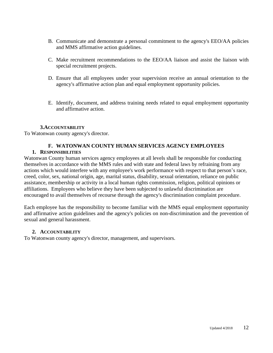- B. Communicate and demonstrate a personal commitment to the agency's EEO/AA policies and MMS affirmative action guidelines.
- C. Make recruitment recommendations to the EEO/AA liaison and assist the liaison with special recruitment projects.
- D. Ensure that all employees under your supervision receive an annual orientation to the agency's affirmative action plan and equal employment opportunity policies.
- E. Identify, document, and address training needs related to equal employment opportunity and affirmative action.

#### **3.ACCOUNTABILITY**

To Watonwan county agency's director.

# **F. WATONWAN COUNTY HUMAN SERVICES AGENCY EMPLOYEES**

# **1. RESPONSIBILITIES**

Watonwan County human services agency employees at all levels shall be responsible for conducting themselves in accordance with the MMS rules and with state and federal laws by refraining from any actions which would interfere with any employee's work performance with respect to that person's race, creed, color, sex, national origin, age, marital status, disability, sexual orientation, reliance on public assistance, membership or activity in a local human rights commission, religion, political opinions or affiliations. Employees who believe they have been subjected to unlawful discrimination are encouraged to avail themselves of recourse through the agency's discrimination complaint procedure.

Each employee has the responsibility to become familiar with the MMS equal employment opportunity and affirmative action guidelines and the agency's policies on non-discrimination and the prevention of sexual and general harassment.

# **2. ACCOUNTABILITY**

To Watonwan county agency's director, management, and supervisors.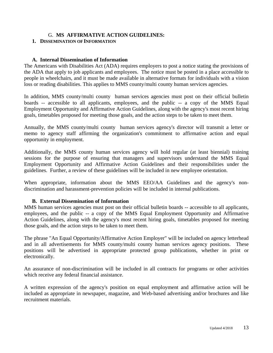# G. **MS AFFIRMATIVE ACTION GUIDELINES:**

### **1. DISSEMINATION OF INFORMATION**

## **A. Internal Dissemination of Information**

The Americans with Disabilities Act (ADA) requires employers to post a notice stating the provisions of the ADA that apply to job applicants and employees. The notice must be posted in a place accessible to people in wheelchairs, and it must be made available in alternative formats for individuals with a vision loss or reading disabilities. This applies to MMS county/multi county human services agencies.

In addition, MMS county/multi county human services agencies must post on their official bulletin boards -- accessible to all applicants, employees, and the public -- a copy of the MMS Equal Employment Opportunity and Affirmative Action Guidelines, along with the agency's most recent hiring goals, timetables proposed for meeting those goals, and the action steps to be taken to meet them.

Annually, the MMS county/multi county human services agency's director will transmit a letter or memo to agency staff affirming the organization's commitment to affirmative action and equal opportunity in employment.

Additionally, the MMS county human services agency will hold regular (at least biennial) training sessions for the purpose of ensuring that managers and supervisors understand the MMS Equal Employment Opportunity and Affirmative Action Guidelines and their responsibilities under the guidelines. Further, a review of these guidelines will be included in new employee orientation.

When appropriate, information about the MMS EEO/AA Guidelines and the agency's nondiscrimination and harassment-prevention policies will be included in internal publications.

# **B. External Dissemination of Information**

MMS human services agencies must post on their official bulletin boards -- accessible to all applicants, employees, and the public -- a copy of the MMS Equal Employment Opportunity and Affirmative Action Guidelines, along with the agency's most recent hiring goals, timetables proposed for meeting those goals, and the action steps to be taken to meet them.

The phrase "An Equal Opportunity/Affirmative Action Employer" will be included on agency letterhead and in all advertisements for MMS county/multi county human services agency positions. These positions will be advertised in appropriate protected group publications, whether in print or electronically.

An assurance of non-discrimination will be included in all contracts for programs or other activities which receive any federal financial assistance.

A written expression of the agency's position on equal employment and affirmative action will be included as appropriate in newspaper, magazine, and Web-based advertising and/or brochures and like recruitment materials.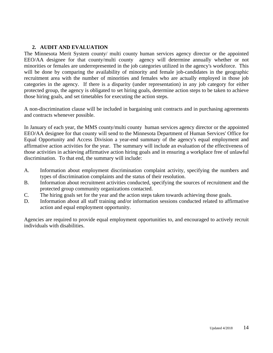# **2. AUDIT AND EVALUATION**

The Minnesota Merit System county/ multi county human services agency director or the appointed EEO/AA designee for that county/multi county agency will determine annually whether or not minorities or females are underrepresented in the job categories utilized in the agency's workforce. This will be done by comparing the availability of minority and female job-candidates in the geographic recruitment area with the number of minorities and females who are actually employed in those job categories in the agency. If there is a disparity (under representation) in any job category for either protected group, the agency is obligated to set hiring goals, determine action steps to be taken to achieve those hiring goals, and set timetables for executing the action steps.

A non-discrimination clause will be included in bargaining unit contracts and in purchasing agreements and contracts whenever possible.

In January of each year, the MMS county/multi county human services agency director or the appointed EEO/AA designee for that county will send to the Minnesota Department of Human Services' Office for Equal Opportunity and Access Division a year-end summary of the agency's equal employment and affirmative action activities for the year. The summary will include an evaluation of the effectiveness of those activities in achieving affirmative action hiring goals and in ensuring a workplace free of unlawful discrimination. To that end, the summary will include:

- A. Information about employment discrimination complaint activity, specifying the numbers and types of discrimination complaints and the status of their resolution.
- B. Information about recruitment activities conducted, specifying the sources of recruitment and the protected group community organizations contacted.
- C. The hiring goals set for the year and the action steps taken towards achieving those goals.
- D. Information about all staff training and/or information sessions conducted related to affirmative action and equal employment opportunity.

Agencies are required to provide equal employment opportunities to, and encouraged to actively recruit individuals with disabilities.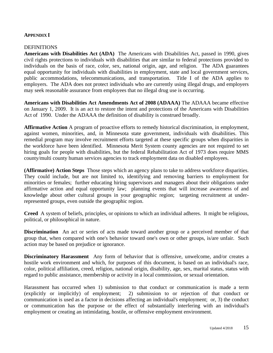#### **APPENDIX I**

#### **DEFINITIONS**

**Americans with Disabilities Act (ADA)** The Americans with Disabilities Act, passed in 1990, gives civil rights protections to individuals with disabilities that are similar to federal protections provided to individuals on the basis of race, color, sex, national origin, age, and religion. The ADA guarantees equal opportunity for individuals with disabilities in employment, state and local government services, public accommodations, telecommunications, and transportation. Title I of the ADA applies to employers. The ADA does not protect individuals who are currently using illegal drugs, and employers may seek reasonable assurance from employees that no illegal drug use is occurring.

**Americans with Disabilities Act Amendments Act of 2008 (ADAAA)** The ADAAA became effective on January 1, 2009. It is an act to restore the intent and protections of the Americans with Disabilities Act of 1990. Under the ADAAA the definition of disability is construed broadly.

**Affirmative Action** A program of proactive efforts to remedy historical discrimination, in employment, against women, minorities, and, in Minnesota state government, individuals with disabilities. This remedial program may involve recruitment efforts targeted at these specific groups when disparities in the workforce have been identified. Minnesota Merit System county agencies are not required to set hiring goals for people with disabilities, but the federal Rehabilitation Act of 1973 does require MMS county/multi county human services agencies to track employment data on disabled employees.

**(Affirmative) Action Steps** Those steps which an agency plans to take to address workforce disparities. They could include, but are not limited to, identifying and removing barriers to employment for minorities or females; further educating hiring supervisors and managers about their obligations under affirmative action and equal opportunity law; planning events that will increase awareness of and knowledge about other cultural groups in your geographic region; targeting recruitment at underrepresented groups, even outside the geographic region.

**Creed** A system of beliefs, principles, or opinions to which an individual adheres. It might be religious, political, or philosophical in nature.

**Discrimination** An act or series of acts made toward another group or a perceived member of that group that, when compared with one's behavior toward one's own or other groups, is/are unfair. Such action may be based on prejudice or ignorance.

**Discriminatory Harassment** Any form of behavior that is offensive, unwelcome, and/or creates a hostile work environment and which, for purposes of this document, is based on an individual's race, color, political affiliation, creed, religion, national origin, disability, age, sex, marital status, status with regard to public assistance, membership or activity in a local commission, or sexual orientation.

Harassment has occurred when 1) submission to that conduct or communication is made a term (explicitly or implicitly) of employment; 2) submission to or rejection of that conduct or communication is used as a factor in decisions affecting an individual's employment; or, 3) the conduct or communication has the purpose or the effect of substantially interfering with an individual's employment or creating an intimidating, hostile, or offensive employment environment.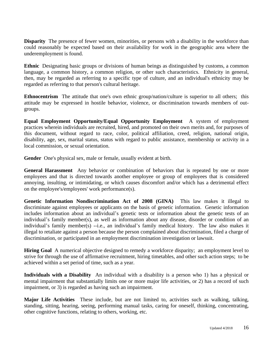**Disparity** The presence of fewer women, minorities, or persons with a disability in the workforce than could reasonably be expected based on their availability for work in the geographic area where the underemployment is found.

**Ethnic** Designating basic groups or divisions of human beings as distinguished by customs, a common language, a common history, a common religion, or other such characteristics. Ethnicity in general, then, may be regarded as referring to a specific type of culture, and an individual's ethnicity may be regarded as referring to that person's cultural heritage.

**Ethnocentrism** The attitude that one's own ethnic group/nation/culture is superior to all others; this attitude may be expressed in hostile behavior, violence, or discrimination towards members of outgroups.

**Equal Employment Opportunity/Equal Opportunity Employment** A system of employment practices wherein individuals are recruited, hired, and promoted on their own merits and, for purposes of this document, without regard to race, color, political affiliation, creed, religion, national origin, disability, age, sex, marital status, status with regard to public assistance, membership or activity in a local commission, or sexual orientation.

**Gender** One's physical sex, male or female, usually evident at birth.

**General Harassment** Any behavior or combination of behaviors that is repeated by one or more employees and that is directed towards another employee or group of employees that is considered annoying, insulting, or intimidating, or which causes discomfort and/or which has a detrimental effect on the employee's/employees' work performance(s).

**Genetic Information Nondiscrimination Act of 2008 (GINA)** This law makes it illegal to discriminate against employees or applicants on the basis of genetic information. Genetic information includes information about an individual's genetic tests or information about the genetic tests of an individual's family member(s), as well as information about any disease, disorder or condition of an individual's family member(s) --i.e., an individual's family medical history. The law also makes it illegal to retaliate against a person because the person complained about discrimination, filed a charge of discrimination, or participated in an employment discrimination investigation or lawsuit.

**Hiring Goal** A numerical objective designed to remedy a workforce disparity; an employment level to strive for through the use of affirmative recruitment, hiring timetables, and other such action steps; to be achieved within a set period of time, such as a year.

**Individuals with a Disability** An individual with a disability is a person who 1) has a physical or mental impairment that substantially limits one or more major life activities, or 2) has a record of such impairment, or 3) is regarded as having such an impairment.

**Major Life Activities** These include, but are not limited to*,* activities such as walking, talking, standing, sitting, hearing, seeing, performing manual tasks, caring for oneself, thinking, concentrating, other cognitive functions, relating to others, working, etc*.*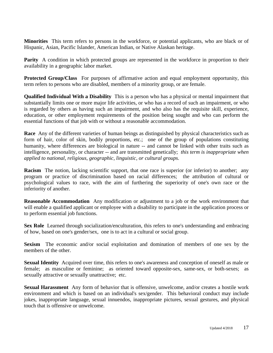**Minorities** This term refers to persons in the workforce, or potential applicants, who are black or of Hispanic, Asian, Pacific Islander, American Indian, or Native Alaskan heritage.

**Parity** A condition in which protected groups are represented in the workforce in proportion to their availability in a geographic labor market.

**Protected Group/Class** For purposes of affirmative action and equal employment opportunity, this term refers to persons who are disabled, members of a minority group, or are female.

**Qualified Individual With a Disability** This is a person who has a physical or mental impairment that substantially limits one or more major life activities, or who has a record of such an impairment, or who is regarded by others as having such an impairment, and who also has the requisite skill, experience, education, or other employment requirements of the position being sought and who can perform the essential functions of that job with or without a reasonable accommodation.

**Race** Any of the different varieties of human beings as distinguished by physical characteristics such as form of hair, color of skin, bodily proportions, etc.; one of the group of populations constituting humanity, where differences are biological in nature -- and cannot be linked with other traits such as intelligence, personality, or character -- and are transmitted genetically; *this term is inappropriate when applied to national, religious, geographic, linguistic, or cultural groups.*

**Racism** The notion, lacking scientific support, that one race is superior (or inferior) to another; any program or practice of discrimination based on racial differences; the attribution of cultural or psychological values to race, with the aim of furthering the superiority of one's own race or the inferiority of another.

**Reasonable Accommodation** Any modification or adjustment to a job or the work environment that will enable a qualified applicant or employee with a disability to participate in the application process or to perform essential job functions.

**Sex Role** Learned through socialization/enculturation, this refers to one's understanding and embracing of how, based on one's gender/sex, one is to act in a cultural or social group.

**Sexism** The economic and/or social exploitation and domination of members of one sex by the members of the other.

**Sexual Identity** Acquired over time, this refers to one's awareness and conception of oneself as male or female; as masculine or feminine; as oriented toward opposite-sex, same-sex, or both-sexes; as sexually attractive or sexually unattractive; etc.

**Sexual Harassment** Any form of behavior that is offensive, unwelcome, and/or creates a hostile work environment and which is based on an individual's sex/gender. This behavioral conduct may include jokes, inappropriate language, sexual innuendos, inappropriate pictures, sexual gestures, and physical touch that is offensive or unwelcome.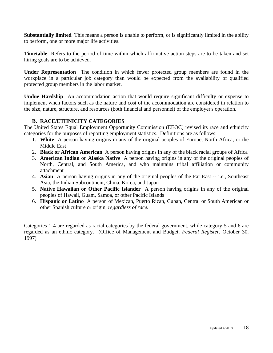**Substantially limited** This means a person is unable to perform, or is significantly limited in the ability to perform, one or more major life activities.

**Timetable** Refers to the period of time within which affirmative action steps are to be taken and set hiring goals are to be achieved.

**Under Representation** The condition in which fewer protected group members are found in the workplace in a particular job category than would be expected from the availability of qualified protected group members in the labor market.

**Undue Hardship** An accommodation action that would require significant difficulty or expense to implement when factors such as the nature and cost of the accommodation are considered in relation to the size, nature, structure, and resources (both financial and personnel) of the employer's operation.

# **B. RACE/ETHNICITY CATEGORIES**

The United States Equal Employment Opportunity Commission (EEOC) revised its race and ethnicity categories for the purposes of reporting employment statistics. Definitions are as follows:

- 1. **White** A person having origins in any of the original peoples of Europe, North Africa, or the Middle East
- 2. **Black or African American** A person having origins in any of the black racial groups of Africa
- 3. **American Indian or Alaska Native** A person having origins in any of the original peoples of North, Central, and South America, and who maintains tribal affiliation or community attachment
- 4. **Asian** A person having origins in any of the original peoples of the Far East -- i.e., Southeast Asia, the Indian Subcontinent, China, Korea, and Japan
- 5. **Native Hawaiian or Other Pacific Islander** A person having origins in any of the original peoples of Hawaii, Guam, Samoa, or other Pacific Islands
- 6. **Hispanic or Latino** A person of Mexican, Puerto Rican, Cuban, Central or South American or other Spanish culture or origin, *regardless of race.*

Categories 1-4 are regarded as racial categories by the federal government, while category 5 and 6 are regarded as an ethnic category. (Office of Management and Budget, *Federal Register*, October 30, 1997)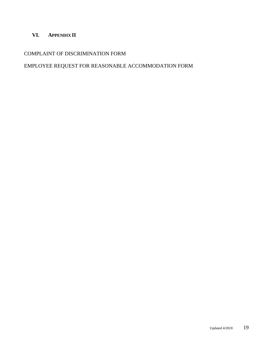# **VI. APPENDIX II**

# COMPLAINT OF DISCRIMINATION FORM

# EMPLOYEE REQUEST FOR REASONABLE ACCOMMODATION FORM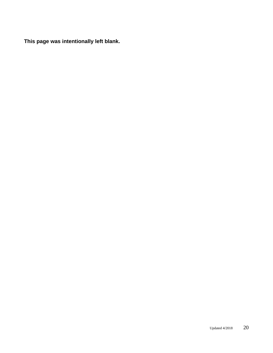**This page was intentionally left blank.**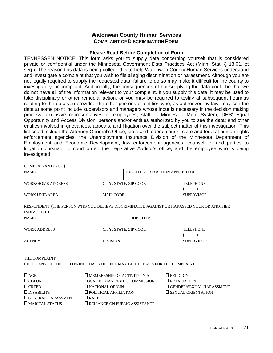## **Watonwan County Human Services COMPLAINT OF DISCRIMINATION FORM**

#### **Please Read Before Completion of Form**

TENNESSEN NOTICE: This form asks you to supply data concerning yourself that is considered private or confidential under the Minnesota Government Data Practices Act (Minn. Stat. § 13.01, et seq.). The reason this data is being collected is to help Watonwan County Human Services understand and investigate a complaint that you wish to file alleging discrimination or harassment. Although you are not legally required to supply the requested data, failure to do so may make it difficult for the county to investigate your complaint. Additionally, the consequences of not supplying the data could be that we do not have all of the information relevant to your complaint. If you supply this data, it may be used to take disciplinary or other remedial action, or you may be required to testify at subsequent hearings relating to the data you provide. The other persons or entities who, as authorized by law, may see the data at some point include supervisors and managers whose input is necessary in the decision making process; exclusive representatives of employees; staff of Minnesota Merit System; DHS' Equal Opportunity and Access Division; persons and/or entities authorized by you to see the data; and other entities involved in grievances, appeals, and litigation over the subject matter of this investigation. This list could include the Attorney General's Office, state and federal courts, state and federal human rights enforcement agencies, the Unemployment Insurance Division of the Minnesota Department of Employment and Economic Development, law enforcement agencies, counsel for and parties to litigation pursuant to court order, the Legislative Auditor's office, and the employee who is being investigated.

| COMPLAINANT (YOU)                                                                                       |                                         |                       |                                   |                              |                                   |                   |
|---------------------------------------------------------------------------------------------------------|-----------------------------------------|-----------------------|-----------------------------------|------------------------------|-----------------------------------|-------------------|
| <b>NAME</b>                                                                                             |                                         |                       | JOB TITLE OR POSITION APPLIED FOR |                              |                                   |                   |
|                                                                                                         |                                         |                       |                                   |                              |                                   |                   |
| <b>WORK/HOME ADDRESS</b>                                                                                |                                         | CITY, STATE, ZIP CODE |                                   |                              |                                   | <b>TELEPHONE</b>  |
|                                                                                                         |                                         |                       |                                   |                              |                                   |                   |
| <b>WORK UNIT/AREA</b>                                                                                   |                                         | <b>MAIL CODE</b>      |                                   |                              |                                   | <b>SUPERVISOR</b> |
|                                                                                                         |                                         |                       |                                   |                              |                                   |                   |
| RESPONDENT (THE PERSON WHO YOU BELIEVE DISCRIMINATED AGAINST OR HARASSED YOUR OR ANOTHER<br>INDIVIDUAL) |                                         |                       |                                   |                              |                                   |                   |
| <b>NAME</b>                                                                                             |                                         |                       | <b>JOB TITLE</b>                  |                              |                                   |                   |
|                                                                                                         |                                         |                       |                                   |                              |                                   |                   |
| <b>WORK ADDRESS</b>                                                                                     | CITY, STATE, ZIP CODE                   |                       |                                   | <b>TELEPHONE</b>             |                                   |                   |
|                                                                                                         |                                         |                       |                                   |                              |                                   |                   |
| <b>AGENCY</b>                                                                                           |                                         | <b>DIVISION</b>       |                                   |                              |                                   | <b>SUPERVISOR</b> |
|                                                                                                         |                                         |                       |                                   |                              |                                   |                   |
|                                                                                                         |                                         |                       |                                   |                              |                                   |                   |
| THE COMPLAINT                                                                                           |                                         |                       |                                   |                              |                                   |                   |
| CHECK ANY OF THE FOLLOWING THAT YOU FEEL MAY BE THE BASIS FOR THE COMPLAINT                             |                                         |                       |                                   |                              |                                   |                   |
|                                                                                                         |                                         |                       |                                   |                              |                                   |                   |
| $\Box$ AGE                                                                                              | $\square$ MEMBERSHIP OR ACTIVITY IN A   |                       |                                   |                              | $\square$ RELIGION                |                   |
| $\Box$ COLOR                                                                                            | <b>LOCAL HUMAN RIGHTS COMMISSION</b>    |                       |                                   |                              | $\Box$ RETALIATION                |                   |
| $\Box$ CREED                                                                                            | $\Box$ NATIONAL ORIGIN                  |                       |                                   |                              | <b>C</b> GENDER/SEXUAL HARASSMENT |                   |
| $\Box$ DISABILITY                                                                                       | $\square$ POLITICAL AFFILIATION         |                       |                                   | $\square$ SEXUAL ORIENTATION |                                   |                   |
| $\Box$ GENERAL HARASSMENT                                                                               | $\Box$ RACE                             |                       |                                   |                              |                                   |                   |
| $\Box$ MARITAL STATUS                                                                                   | $\square$ RELIANCE ON PUBLIC ASSISTANCE |                       |                                   |                              |                                   |                   |
|                                                                                                         |                                         |                       |                                   |                              |                                   |                   |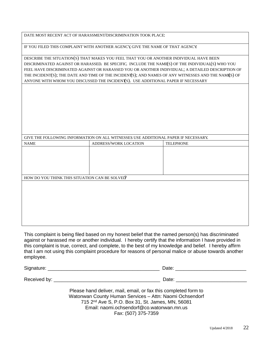| DATE MOST RECENT ACT OF HARASSMENT/DISCRIMINATION TOOK PLACE: |  |
|---------------------------------------------------------------|--|
|---------------------------------------------------------------|--|

IF YOU FILED THIS COMPLAINT WITH ANOTHER AGENCY, GIVE THE NAME OF THAT AGENCY:

DESCRIBE THE SITUATION(S) THAT MAKES YOU FEEL THAT YOU OR ANOTHER INDIVIDUAL HAVE BEEN DISCRIMINATED AGAINST OR HARASSED. BE SPECIFIC. INCLUDE THE NAME(S) OF THE INDIVIDUAL(S) WHO YOU FEEL HAVE DISCRIMINATED AGAINST OR HARASSED YOU OR ANOTHER INDIVIDUAL; A DETAILED DESCRIPTION OF THE INCIDENT(S); THE DATE AND TIME OF THE INCIDENTS); AND NAMES OF ANY WITNESSES AND THE NAMES) OF ANYONE WITH WHOM YOU DISCUSSED THE INCIDENT(S). USE ADDITIONAL PAPER IF NECESSARY

| GIVE THE FOLLOWING INFORMATION ON ALL WITNESSES USE ADDITIONAL PAPER IF NECESSARY. |                       |                  |  |
|------------------------------------------------------------------------------------|-----------------------|------------------|--|
| <b>NAME</b>                                                                        | ADDRESS/WORK LOCATION | <b>TELEPHONE</b> |  |
|                                                                                    |                       |                  |  |
|                                                                                    |                       |                  |  |
|                                                                                    |                       |                  |  |
|                                                                                    |                       |                  |  |
|                                                                                    |                       |                  |  |
| HOW DO YOU THINK THIS SITUATION CAN BE SOLVELY                                     |                       |                  |  |
|                                                                                    |                       |                  |  |
|                                                                                    |                       |                  |  |
|                                                                                    |                       |                  |  |
|                                                                                    |                       |                  |  |
|                                                                                    |                       |                  |  |
|                                                                                    |                       |                  |  |
|                                                                                    |                       |                  |  |
|                                                                                    |                       |                  |  |

This complaint is being filed based on my honest belief that the named person(s) has discriminated against or harassed me or another individual. I hereby certify that the information I have provided in this complaint is true, correct, and complete, to the best of my knowledge and belief. I hereby affirm that I am not using this complaint procedure for reasons of personal malice or abuse towards another employee.

| Signature:   | Date: |
|--------------|-------|
|              |       |
| Received by: | Date: |

Please hand deliver, mail, email, or fax this completed form to Watonwan County Human Services – Attn: Naomi Ochsendorf 715 2nd Ave S, P.O. Box 31, St. James, MN, 56081 Email: naomi.ochsendorf@co.watonwan.mn.us Fax: (507) 375-7359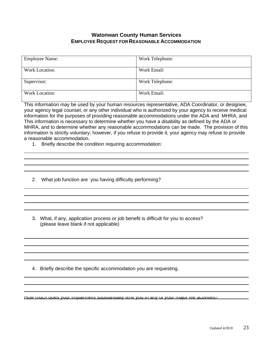# **Watonwan County Human Services EMPLOYEE REQUEST FOR REASONABLE ACCOMMODATION**

| <b>Employee Name:</b> | Work Telephone: |
|-----------------------|-----------------|
| Work Location:        | Work Email:     |
| Supervisor:           | Work Telephone: |
| Work Location:        | Work Email:     |

This information may be used by your human resources representative, ADA Coordinator, or designee, your agency legal counsel, or any other individual who is authorized by your agency to receive medical information for the purposes of providing reasonable accommodations under the ADA and MHRA, and This information is necessary to determine whether you have a disability as defined by the ADA or MHRA, and to determine whether any reasonable accommodations can be made. The provision of this information is strictly voluntary; however, if you refuse to provide it, your agency may refuse to provide a reasonable accommodation.

- 1. Briefly describe the condition requiring accommodation:
- 2. What job function are you having difficulty performing?
- 3. What, if any, application process or job benefit is difficult for you to access? (please leave blank if not applicable)

4. Briefly describe the specific accommodation you are requesting.

How much does your impairment substantially limit you in any of your major life activities?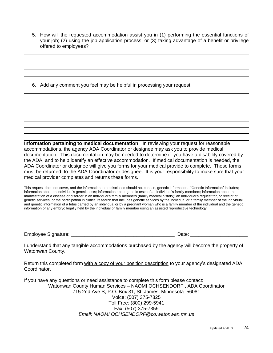- 5. How will the requested accommodation assist you in (1) performing the essential functions of your job; (2) using the job application process, or (3) taking advantage of a benefit or privilege offered to employees?
- 6. Add any comment you feel may be helpful in processing your request:

**Information pertaining to medical documentation:** In reviewing your request for reasonable accommodations, the agency ADA Coordinator or designee may ask you to provide medical documentation. This documentation may be needed to determine if you have a disability covered by the ADA, and to help identify an effective accommodation. If medical documentation is needed, the ADA Coordinator or designee will give you forms for your medical provide to complete. These forms must be returned to the ADA Coordinator or designee. It is your responsibility to make sure that your medical provider completes and returns these forms.

This request does not cover, and the information to be disclosed should not contain, genetic information. "Genetic Information" includes; information about an individual's genetic tests; information about genetic tests of an individual's family members; information about the manifestation of a disease or disorder in an individual's family members (family medical history); an individual's request for, or receipt of, genetic services, or the participation in clinical research that includes genetic services by the individual or a family member of the individual; and genetic information of a fetus carried by an individual or by a pregnant woman who is a family member of the individual and the genetic information of any embryo legally held by the individual or family member using an assisted reproductive technology.

Employee Signature: \_\_\_\_\_\_\_\_\_\_\_\_\_\_\_\_\_\_\_\_\_\_\_\_\_\_\_\_\_\_\_\_\_\_\_\_\_\_ Date: \_\_\_\_\_\_\_\_\_\_\_\_\_\_\_\_\_\_\_\_\_

I understand that any tangible accommodations purchased by the agency will become the property of Watonwan County.

Return this completed form with a copy of your position description to your agency's designated ADA Coordinator.

If you have any questions or need assistance to complete this form please contact: Watonwan County Human Services – NAOMI OCHSENDORF , ADA Coordinator 715 2nd Ave S, P.O. Box 31, St. James, Minnesota 56081 Voice: (507) 375-7825 Toll Free: (800) 299-5941 Fax: (507) 375-7359 *Email: NAOMI.OCHSENDORF@co.watonwan.mn.us*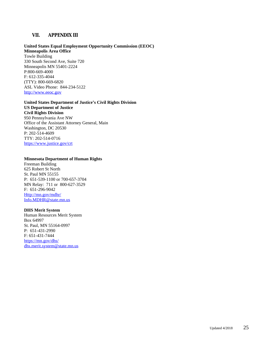#### **VII. APPENDIX III**

#### **United States Equal Employment Opportunity Commission (EEOC) Minneapolis Area Office** Towle Building 330 South Second Ave, Suite 720 Minneapolis MN 55401-2224 P:800-669-4000 F: 612-335-4044 (TTY): 800-669-6820

ASL Video Phone: 844-234-5122 <http://www.eeoc.gov>

#### **United States Department of Justice's Civil Rights Division**

**US Department of Justice Civil Rights Division** 950 Pennsylvania Ave NW Office of the Assistant Attorney General, Main Washington, DC 20530 P: 202-514-4609 TTY: 202-514-0716 <https://www.justice.gov/crt>

#### **Minnesota Department of Human Rights**

Freeman Building 625 Robert St North St. Paul MN 55155 P: 651-539-1100 or 700-657-3704 MN Relay: 711 or 800-627-3529 F: 651-296-9042 <Http://mn.gov/mdhr/> [Info.MDHR@state.mn.us](mailto:Info.MDHR@state.mn.us)

#### **DHS Merit System**

Human Resources Merit System Box 64997 St. Paul, MN 55164-0997 P: 651-431-2990 F: 651-431-7444 <https://mn.gov/dhs/> [dhs.merit.system@state.mn.us](mailto:dhs.merit.system@state.mn.us)